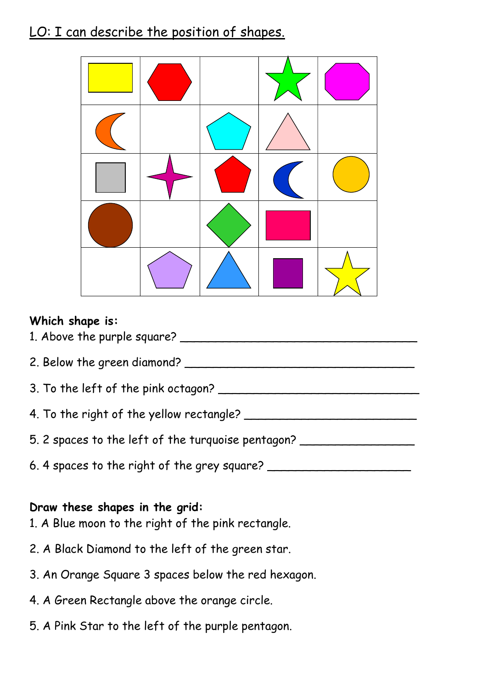## LO: I can describe the position of shapes.



#### Which shape is:

1. Above the purple square? \_\_\_\_\_\_\_\_\_\_\_\_\_\_\_\_\_\_\_\_\_\_\_\_\_\_\_\_\_\_\_\_\_ 2. Below the green diamond? 3. To the left of the pink octagon? 4. To the right of the yellow rectangle? \_\_\_\_\_\_\_\_\_\_\_\_\_\_\_\_\_\_\_\_\_\_\_\_ 5. 2 spaces to the left of the turquoise pentagon? 6. 4 spaces to the right of the grey square? \_\_\_\_\_\_\_\_\_\_\_\_\_\_\_\_\_\_\_\_\_\_\_\_\_\_\_\_\_\_\_\_\_\_\_

#### Draw these shapes in the grid:

- 1. A Blue moon to the right of the pink rectangle.
- 2. A Black Diamond to the left of the green star.
- 3. An Orange Square 3 spaces below the red hexagon.
- 4. A Green Rectangle above the orange circle.
- 5. A Pink Star to the left of the purple pentagon.